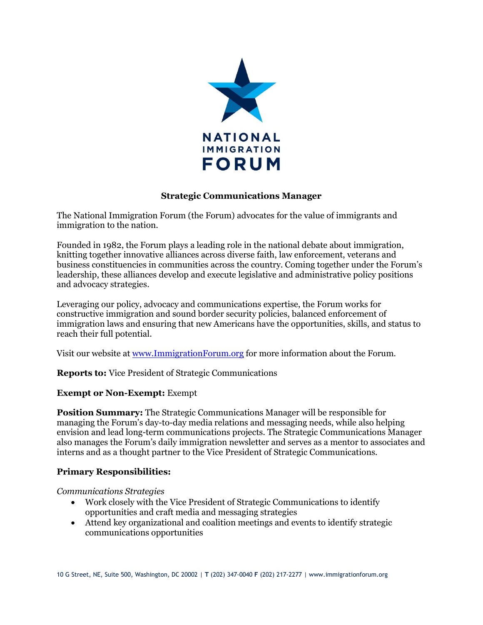

## **Strategic Communications Manager**

The National Immigration Forum (the Forum) advocates for the value of immigrants and immigration to the nation.

Founded in 1982, the Forum plays a leading role in the national debate about immigration, knitting together innovative alliances across diverse faith, law enforcement, veterans and business constituencies in communities across the country. Coming together under the Forum's leadership, these alliances develop and execute legislative and administrative policy positions and advocacy strategies.

Leveraging our policy, advocacy and communications expertise, the Forum works for constructive immigration and sound border security policies, balanced enforcement of immigration laws and ensuring that new Americans have the opportunities, skills, and status to reach their full potential.

Visit our website a[t www.ImmigrationForum.org](http://www.immigrationforum.org/) for more information about the Forum.

**Reports to:** Vice President of Strategic Communications

#### **Exempt or Non-Exempt:** Exempt

**Position Summary:** The Strategic Communications Manager will be responsible for managing the Forum's day-to-day media relations and messaging needs, while also helping envision and lead long-term communications projects. The Strategic Communications Manager also manages the Forum's daily immigration newsletter and serves as a mentor to associates and interns and as a thought partner to the Vice President of Strategic Communications.

# **Primary Responsibilities:**

*Communications Strategies* 

- Work closely with the Vice President of Strategic Communications to identify opportunities and craft media and messaging strategies
- Attend key organizational and coalition meetings and events to identify strategic communications opportunities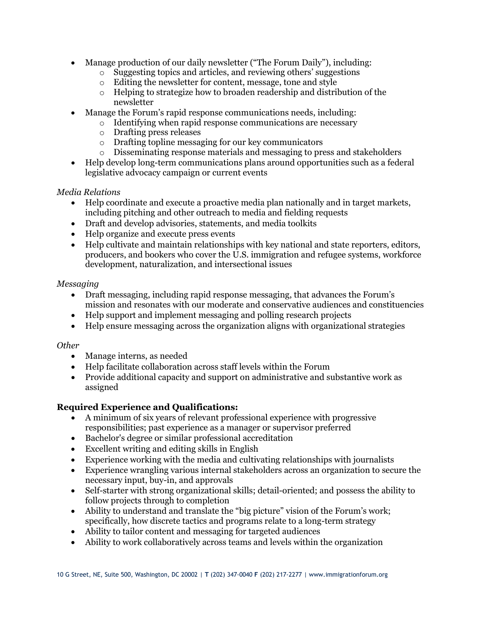- Manage production of our daily newsletter ("The Forum Daily"), including:
	- o Suggesting topics and articles, and reviewing others' suggestions
	- o Editing the newsletter for content, message, tone and style
	- o Helping to strategize how to broaden readership and distribution of the newsletter
- Manage the Forum's rapid response communications needs, including:
	- $\circ$  Identifying when rapid response communications are necessary
	- o Drafting press releases
	- o Drafting topline messaging for our key communicators
	- o Disseminating response materials and messaging to press and stakeholders
- Help develop long-term communications plans around opportunities such as a federal legislative advocacy campaign or current events

#### *Media Relations*

- Help coordinate and execute a proactive media plan nationally and in target markets, including pitching and other outreach to media and fielding requests
- Draft and develop advisories, statements, and media toolkits
- Help organize and execute press events
- Help cultivate and maintain relationships with key national and state reporters, editors, producers, and bookers who cover the U.S. immigration and refugee systems, workforce development, naturalization, and intersectional issues

#### *Messaging*

- Draft messaging, including rapid response messaging, that advances the Forum's mission and resonates with our moderate and conservative audiences and constituencies
- Help support and implement messaging and polling research projects
- Help ensure messaging across the organization aligns with organizational strategies

#### *Other*

- Manage interns, as needed
- Help facilitate collaboration across staff levels within the Forum
- Provide additional capacity and support on administrative and substantive work as assigned

# **Required Experience and Qualifications:**

- A minimum of six years of relevant professional experience with progressive responsibilities; past experience as a manager or supervisor preferred
- Bachelor's degree or similar professional accreditation
- Excellent writing and editing skills in English
- Experience working with the media and cultivating relationships with journalists
- Experience wrangling various internal stakeholders across an organization to secure the necessary input, buy-in, and approvals
- Self-starter with strong organizational skills; detail-oriented; and possess the ability to follow projects through to completion
- Ability to understand and translate the "big picture" vision of the Forum's work; specifically, how discrete tactics and programs relate to a long-term strategy
- Ability to tailor content and messaging for targeted audiences
- Ability to work collaboratively across teams and levels within the organization